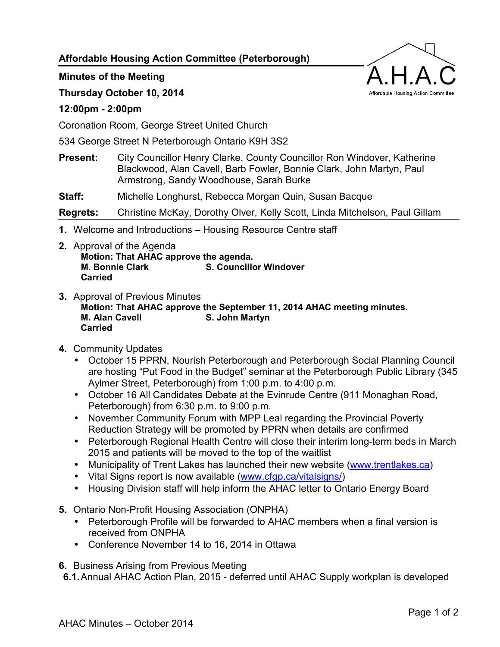**Affordable Housing Action Committee (Peterborough)** 

## **Minutes of the Meeting**

## **Thursday October 10, 2014**

## **12:00pm - 2:00pm**

Coronation Room, George Street United Church

534 George Street N Peterborough Ontario K9H 3S2

**Present:** City Councillor Henry Clarke, County Councillor Ron Windover, Katherine Blackwood, Alan Cavell, Barb Fowler, Bonnie Clark, John Martyn, Paul Armstrong, Sandy Woodhouse, Sarah Burke

**Staff:** Michelle Longhurst, Rebecca Morgan Quin, Susan Bacque

**Regrets:** Christine McKay, Dorothy Olver, Kelly Scott, Linda Mitchelson, Paul Gillam

- **1.** Welcome and Introductions Housing Resource Centre staff
- **2.** Approval of the Agenda **Motion: That AHAC approve the agenda. M. Bonnie Clark S. Councillor Windover Carried**
- **3.** Approval of Previous Minutes **Motion: That AHAC approve the September 11, 2014 AHAC meeting minutes. M. Alan Cavell S. John Martyn Carried**
- **4.** Community Updates
	- October 15 PPRN, Nourish Peterborough and Peterborough Social Planning Council are hosting "Put Food in the Budget" seminar at the Peterborough Public Library (345 Aylmer Street, Peterborough) from 1:00 p.m. to 4:00 p.m.
	- October 16 All Candidates Debate at the Evinrude Centre (911 Monaghan Road, Peterborough) from 6:30 p.m. to 9:00 p.m.
	- November Community Forum with MPP Leal regarding the Provincial Poverty Reduction Strategy will be promoted by PPRN when details are confirmed
	- Peterborough Regional Health Centre will close their interim long-term beds in March 2015 and patients will be moved to the top of the waitlist
	- Municipality of Trent Lakes has launched their new website [\(www.trentlakes.ca\)](http://www.trentlakes.ca/)
	- Vital Signs report is now available ([www.cfgp.ca/vitalsigns/\)](http://www.cfgp.ca/vitalsigns/)
	- Housing Division staff will help inform the AHAC letter to Ontario Energy Board
- **5.** Ontario Non-Profit Housing Association (ONPHA)
	- Peterborough Profile will be forwarded to AHAC members when a final version is received from ONPHA
	- Conference November 14 to 16, 2014 in Ottawa

**6.** Business Arising from Previous Meeting

**6.1.** Annual AHAC Action Plan, 2015 - deferred until AHAC Supply workplan is developed